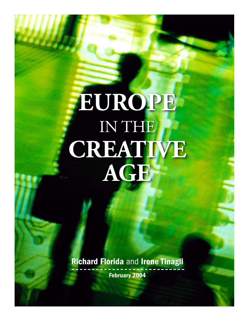# **EUROPE** IN THE **CREATIVE AGE**

Richard Florida and Irene Tinagli February 2004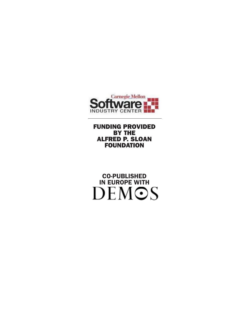

FUNDING PROVIDED BY THE ALFRED P. SLOAN FOUNDATION

CO-PUBLISHED IN EUROPE WITH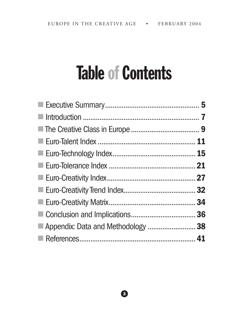# Table of Contents

| $\mathcal{L}_{\mathcal{A}}$        |
|------------------------------------|
|                                    |
|                                    |
|                                    |
|                                    |
|                                    |
|                                    |
|                                    |
|                                    |
| Appendix: Data and Methodology  38 |
|                                    |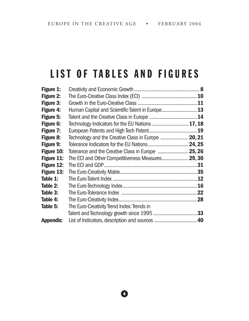### LIST OF TABLES AND FIGURES

| Figure 1:         |                                                     |  |
|-------------------|-----------------------------------------------------|--|
| <b>Figure 2:</b>  |                                                     |  |
| <b>Figure 3:</b>  |                                                     |  |
| Figure 4:         | Human Capital and Scientific Talent in Europe 13    |  |
| <b>Figure 5:</b>  |                                                     |  |
| <b>Figure 6:</b>  | Technology Indicators for the EU Nations  17, 18    |  |
| <b>Figure 7:</b>  |                                                     |  |
| Figure 8:         | Technology and the Creative Class in Europe  20, 21 |  |
| Figure 9:         |                                                     |  |
| <b>Figure 10:</b> | Tolerance and the Creative Class in Europe  25, 26  |  |
| Figure 11:        | The ECI and Other Competitiveness Measures 29, 30   |  |
| Figure 12:        |                                                     |  |
| Figure 13:        |                                                     |  |
| Table 1:          |                                                     |  |
| Table 2:          |                                                     |  |
| Table 3:          |                                                     |  |
| Table 4:          |                                                     |  |
| Table 5:          | The Euro-Creativity Trend Index: Trends in          |  |
|                   |                                                     |  |
| <b>Appendix:</b>  |                                                     |  |

 $\bullet$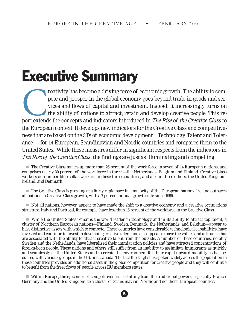# Executive Summary

reativity has become a driving force of economic growth. The ability to compete and prosper in the global economy goes beyond trade in goods and services and flows of capital and investment. Instead, it increasingly turns pete and prosper in the global economy goes beyond trade in goods and services and flows of capital and investment. Instead, it increasingly turns on the ability of nations to attract, retain and develop creative people. This report extends the concepts and indicators introduced in *The Rise of the Creative Class* to the European context. It develops new indicators for the Creative Class and competitiveness that are based on the 3Ts of economic development—Technology, Talent and Tolerance — for 14 European, Scandinavian and Nordic countries and compares them to the United States. While these measures differ in significant respects from the indicators in *The Rise of the Creative Class*, the findings are just as illuminating and compelling.

■ The Creative Class makes up more than 25 percent of the work force in seven of 14 European nations, and comprises nearly 30 percent of the workforce in three —the Netherlands, Belgium and Finland. Creative Class workers outnumber blue-collar workers in these three countries, and also in three others: the United Kingdom, Ireland, and Denmark.

n The Creative Class is growing at a fairly rapid pace in a majority of the European nations. Ireland outpaces all nations in Creative Class growth, with a 7 percent annual growth rate since 1995.

 $\blacksquare$  Not all nations, however, appear to have made the shift to a creative economy and a creative occupations structure. Italy and Portugal, for example, have less than 15 percent of the workforce in the Creative Class.

n While the United States remains the world leader in technology and in its ability to attract top talent, a cluster of Northern European nations—Finland, Sweden, Denmark, the Netherlands, and Belgium—appear to have distinctive assets with which to compete. These countries have considerable technological capabilities, have invested and continue to invest in developing creative talent and also appear to have the values and attitudes that are associated with the ability to attract creative talent from the outside. A number of these countries, notably Sweden and the Netherlands, have liberalized their immigration policies and have attracted concentrations of foreign-born people. These nations and others still suffer from an inability to assimilate immigrants as quickly and seamlessly as the United States and to create the environment for their rapid upward mobility as has occurred with various groups in the U.S. and Canada. The fact the English is spoken widely across the population in these countries provides an additional asset in the global competition for creative people and they will continue to benefit from the freer flows of people across EU members states.

n Within Europe, the epicenter of competitiveness is shifting from the traditional powers, especially France, Germany and the United Kingdom, to a cluster of Scandinavian, Nordic and northern European counties.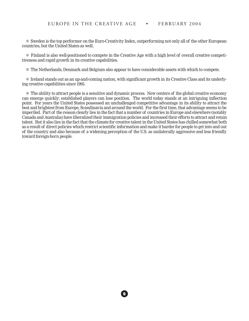n Sweden is the top performer on the Euro-Creativity Index, outperforming not only all of the other European countries, but the United States as well.

n Finland is also well-positioned to compete in the Creative Age with a high level of overall creative competitiveness and rapid growth in its creative capabilities.

 $\blacksquare$  The Netherlands, Denmark and Belgium also appear to have considerable assets with which to compete.

n Ireland stands out as an up-and-coming nation, with significant growth in its Creative Class and its underlying creative capabilities since 1995.

 $\blacksquare$  The ability to attract people is a sensitive and dynamic process. New centers of the global creative economy can emerge quickly; established players can lose position. The world today stands at an intriguing inflection point. For years the United States possessed an unchallenged competitive advantage in its ability to attract the best and brightest from Europe, Scandinavia and around the world. For the first time, that advantage seems to be imperiled. Part of the reason clearly lies in the fact that a number of countries in Europe and elsewhere (notably Canada and Australia) have liberalized their immigration policies and increased their efforts to attract and retain talent. But it also lies in the fact that the climate for creative talent in the United States has chilled somewhat both as a result of direct policies which restrict scientific information and make it harder for people to get into and out of the country and also because of a widening perception of the U.S. as unilaterally aggressive and less friendly toward foreign-born people.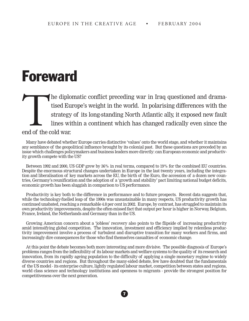### Foreward

#### The diplomatic conflict preceding war in Iraq questioned and dramatised Europe's weight in the world. In polarising differences with the strategy of its long-standing North Atlantic ally, it exposed new fault lines within a continent which has changed radically even since the end of the cold war.

Many have debated whether Europe carries distinctive 'values' onto the world stage, and whether it maintains any semblance of the geopolitical influence brought by its colonial past. But these questions are preceded by an issue which challenges policymakers and business leaders more directly: can European economic and productivity growth compete with the US?

Between 1992 and 2000, US GDP grew by 36% in real terms, compared to 19% for the combined EU countries. Despite the enormous structural changes undertaken in Europe in the last twenty years, including the integration and liberalisation of key markets across the EU, the birth of the Euro, the accession of a dozen new countries, Germany's reunification and the adoption of a 'growth and stability' pact limiting national budget deficits, economic growth has been sluggish in comparison to US performance.

Productivity is key both to the difference in performance and to future prospects. Recent data suggests that, while the technology-fuelled leap of the 1990s was unsustainable in many respects, US productivity growth has continued unabated, reaching a remarkable 4.8 per cent in 2002. Europe, by contrast, has struggled to maintain its own productivity improvements, despite the often-missed fact that output per hour is higher in Norway, Belgium, France, Ireland, the Netherlands and Germany than in the US.

Growing American concern about a 'jobless' recovery also points to the flipside of increasing productivity amid intensifying global competition. The innovation, investment and efficiency implied by relentless productivity improvement involve a process of turbulent and disruptive transition for many workers and firms, and increasingly dire consequences for those who find themselves casualties of economic change.

At this point the debate becomes both more interesting and more divisive. The possible diagnosis of Europe's problems ranges from the inflexibility of its labour markets and welfare systems to the quality of its research and innovation, from its rapidly ageing population to the difficulty of applying a single monetary regime to widely diverse countries and regions. But throughout the many-sided debate, few have doubted that the fundamentals of the US model - its enterprise culture, lightly regulated labour market, competition between states and regions, world class science and technology institutions and openness to migrants - provide the strongest position for competitiveness over the next generation.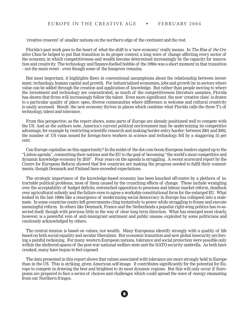'creative crescent' of smaller nations on the northern edge of the continent and the rest.

Florida's past work goes to the heart of what the shift to a 'new economy' really means. In *The Rise of the Creative Class* he helped to put that transition in its proper context; a long wave of change affecting every sector of the economy, in which competitiveness and wealth become determined increasingly by the capacity for innovation and creativity. The technology and finance-fuelled bubble of the 1990s was a short moment in that transition – not the main event – even though some of the hangover remains.

But most important, it highlights flaws in conventional assumptions about the relationship between investment, technology, human capital and growth. For industrialised economies, jobs and growth lie in sectors where value can be added through the creation and application of knowledge. But rather than people moving to where the investment and technology are concentrated, as much of the competitiveness literature assumes, Florida has shown that firms will increasingly follow the talent. Even more significant, the new 'creative class' is drawn to a particular quality of place: open, diverse communities where difference is welcome and cultural creativity is easily accessed. Result: the new economy thrives in places which combine what Florida calls the three T's of technology, talent and tolerance.

From this perspective, as the report shows, some parts of Europe are already positioned well to compete with the US. And as the authors note, America's current political environment may be undermining its competitive advantage, for example by restricting scientific research and making border entry harder: between 2001 and 2002, the number of US visas issued for foreign-born workers in science and technology fell by a staggering 55 per cent.

Can Europe capitalise on this opportunity? In the midst of the dot.com boom European leaders signed up to the "Lisbon agenda", committing their nations and the EU to the goal of becoming "the world's most competitive and dynamic knowledge economy by 2010". Four years on the agenda is struggling. A recent scorecard report by the Centre for European Reform showed that few countries are making the progress needed to fulfil their commitments, though Denmark and Finland have exceeded expectations.

The strategic importance of the knowledge-based economy has been knocked off-centre by a plethora of intractable political problems, most of them caused by the crunching effects of change. These include wrangling over the acceptability of budget deficits, entrenched opposition to pensions and labour market reform, deadlock over agricultural subsidy and the failure even to agree a workable constitutional form for the enlarged EU. What looked in the late 1990s like a resurgence of modernising social democracy in Europe has collapsed into a stalemate. In some countries centre left governments cling tentatively to power while struggling to frame and execute meaningful reform. In others like Denmark, France and the Netherlands a populist right-wing politics has re-asserted itself, though with precious little in the way of clear long term direction. What has emerged most clearly, however, is a powerful vein of anti-immigrant sentiment and public unease, exploited by some politicians and cautiously acknowledged by others.

The central tension is based on values, not wealth. Many Europeans identify strongly with a quality of life based on both social equality and secular liberalism. But economic transition and new global insecurity are forcing a painful reckoning. For many western European nations, tolerance and social protection were possible only within the sheltered spaces of the post-war national welfare state and the NATO security umbrella. As both have creaked, many have begun to feel exposed.

The data presented in this report shows that values associated with tolerance are more strongly held in Europe than in the US. This is striking, given American self-image. It contributes significantly for the potential for Europe to compete in drawing the best and brightest to its most dynamic regions. But this will only occur if Europeans are prepared to face a series of choices and challenges which could spread the wave of energy emanating from our Northern fringes.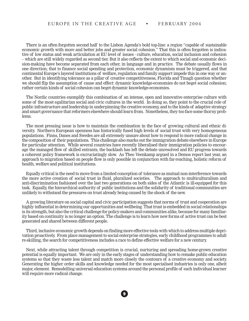There is an often forgotten second half to the Lisbon Agenda's bold top-line: a region "capable of sustainable economic growth with more and better jobs and greater social cohesion." That this is often forgotten is indicative of low status and weak articulation at EU level of issues - culture, education, social inclusion and cohesion – which are still widely regarded as second tier. But it also reflects the extent to which social and economic decision-making have become separated from each other, in language and in practice. The debate usually flows in one direction; that to finance social spending and protection, economic dynamism must be triggered, and that continental Europe's layered institutions of welfare, regulation and family support impede this in one way or another. But in identifying tolerance as a pillar of creative competitiveness, Florida and Tinagli question whether we should flip the assumption of cause and effect: dynamic knowledge-economies do not beget social cohesion; rather certain kinds of social cohesion can beget dynamic knowledge-economies.

The Nordic countries exemplify this combination of an intense, open and innovative enterprise culture with some of the most egalitarian social and civic cultures in the world. In doing so, they point to the crucial role of public infrastructure and leadership in underpinning the creative economy, and to the kinds of adaptive strategy and smart governance that reformers elsewhere should learn from. Nonetheless, they too face some thorny problems.

The most pressing issue is how to maintain the combination in the face of growing cultural and ethnic diversity. Northern European openness has historically fused high levels of social trust with very homogeneous populations. Finns, Danes and Swedes are all extremely unsure about how to respond to more radical change in the composition of their populations. This challenge also marks out the immigration debate elsewhere in Europe for particular attention. While several countries have recently liberalised their immigration policies to encourage the managed flow of skilled entrants, the backlash has left the debate unresolved and EU progress towards a coherent policy framework is excruciatingly slow. As Theo Veenkamp argued in a Demos report last year, an approach to migration based on people flow is only possible in conjunction with far-reaching, holistic reform of health, welfare and political institutions.

Equally critical is the need to move from a limited conception of tolerance as mutual non-interference towards the more active creation of social trust in fluid, pluralized societies. The approach to multiculturalism and anti-discrimination fashioned over the last two generations on both sides of the Atlantic is ill-equipped for this task. Equally, the hierarchical authority of public institutions and the solidarity of traditional communities are unlikely to withstand the pressures on trust already being caused by the shock of the new.

A growing literature on social capital and civic participation suggests that norms of trust and cooperation are highly influential in determining our opportunities and wellbeing. That trust is embedded in social relationships is its strength, but also the critical challenge for policy-makers and communities alike, because for many familiarity based on continuity is no longer an option. The challenge is to learn how new forms of active trust can be best generated and shared between different people.

Third, inclusive economic growth depends on finding more effective tools with which to address multiple deprivation proactively. From place management to social enterprise strategies, early childhood programmes to adult re-skilling, the search for competitiveness includes a race to define effective welfare for a new century.

Next, while attracting talent through competition is crucial, nurturing and spreading home-grown creative potential is equally important. We are only in the early stages of understanding how to remake public education systems so that they waste less talent and match more closely the contours of a creative economy and society. Generating the higher order skills and knowledge needed for the most specialised industries is only one, albeit major, element. Remodelling universal education systems around the personal profile of each individual learner will require more radical change.

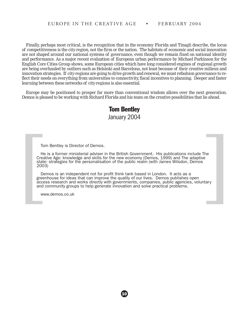Finally, perhaps most critical, is the recognition that in the economy Florida and Tinagli describe, the locus of competitiveness is the city-region, not the firm or the nation. The habitats of economic and social innovation are not shaped around our national systems of governance, even though we remain fixed on national identity and performance. As a major recent evaluation of European urban performance by Michael Parkinson for the English Core Cities Group shows, some European cities which have long considered engines of regional growth are being overhauled by outliers such as Helsinki and Barcelona, not least because of their creative milieux and innovation strategies. If city-regions are going to drive growth and renewal, we must refashion governance to reflect their needs on everything from universities to connectivity, fiscal incentives to planning. Deeper and faster learning between these networks of city-regions is also essential.

Europe may be positioned to prosper far more than conventional wisdom allows over the next generation. Demos is pleased to be working with Richard Florida and his team on the creative possibilities that lie ahead.

#### Tom Bentley January 2004

Tom Bentley is Director of Demos.

He is a former ministerial adviser in the British Government. His publications include The Creative Age: knowledge and skills for the new economy (Demos, 1999) and The adaptive state: strategies for the personalisation of the public realm (with James Wilsdon, Demos 2003)

Demos is an independent not for profit think tank based in London. It acts as a greenhouse for ideas that can improve the quality of our lives. Demos publishes open access research and works directly with governments, companies, public agencies, voluntary and community groups to help generate innovation and solve practical problems. Tom Bentley is Director of Demos.<br>
He is a former ministerial adviser in the British Government. His publications include The<br>
Creative Age: knowledge and skills for the new economy (Demos, 1999) and The adaptive<br>
state: s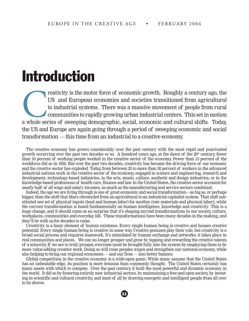### Introduction

reativity is the motor force of economic growth. Roughly a century ago, the US and European economies and societies transitioned from agricultural to industrial systems. There was a massive movement of people from rural co US and European economies and societies transitioned from agricultural to industrial systems. There was a massive movement of people from rural communities to rapidly growing urban industrial centers. This set in motion a whole series of sweeping demographic, social, economic and cultural shifts. Today, the US and Europe are again going through a period of sweeping economic and social transformation — this time from an industrial to a creative economy.

The creative economy has grown considerably over the past century with the most rapid and punctuated growth occurring over the past two decades or so. A hundred years ago, at the dawn of the  $20<sup>th</sup>$  century, fewer than 10 percent of working people worked in the creative sector of the economy. Fewer than 15 percent of the workforce did so in 1950. But over the past two decades, creativity has become the driving force of our economy and the creative sector has exploded. Today, from between 25 to more than 30 percent of workers in the advanced industrial nations work in the creative sector of the economy, engaged in science and engineering, research and development, technology-based industries, in the arts, music, culture, aesthetic and design industries, or in the knowledge-based professions of health care, finance and law. In the United States, the creative sector accounts for nearly half of all wage and salary incomes, as much as the manufacturing and service sectors combined.

Indeed, the age we are living through is one of great economic and social transformation—as big as, or perhaps bigger, than the shift that Marx chronicled from an agricultural to an industrial capitalist system. That shift substituted one set of physical inputs (land and human labor) for another (raw materials and physical labor), while the current transformation is based fundamentally on human intelligence, knowledge and creativity. This is a huge change, and it should come as no surprise that it's shaping myriad transformations in our society, culture, workplaces, communities and everyday life. These transformations have been many decades in the making, and they'll be with us for decades to come.

Creativity is a basic element of human existence. Every single human being is creative and houses creative potential: Every single human being is creative in some way. Creative geniuses play their role, but creativity is a broad social process and requires teamwork. It's stimulated by human exchange and networks; it takes place in real communities and places. We can no longer prosper and grow by tapping and rewarding the creative talents of a minority. If we are to truly prosper, everyone must be brought fully into the system by employing them to do more value-adding creative work. Doing so will raise peoples wages and strengthen our national economy, while also helping to bring our regional economies — and our lives — into better balance.

Global competition in the creative economy is a wide-open game. While many assume that the United States has an unbeatable edge, its position is more tenuous than commonly thought. The United States certainly has many assets with which to compete. Over the past century, it built the most powerful and dynamic economy in the world. It did so by fostering entirely new industrial sectors, by maintaining a free and open society, by investing in scientific and cultural creativity, and most of all by drawing energetic and intelligent people from all over to its shores.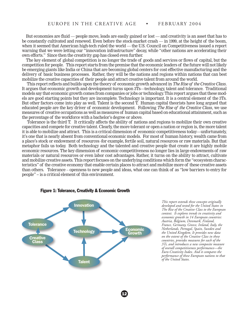But economies are fluid — people move, leads are easily gained or lost — and creativity is an asset that has to be constantly cultivated and renewed. Even before the stock-market crash — in 1999, at the height of the boom, when it seemed that American high-tech ruled the world — the U.S. Council on Competitiveness issued a report warning that we were letting our "innovation infrastructure" decay, while "other nations are accelerating their own efforts." Since then the creativity gap has closed even further.

The key element of global competition is no longer the trade of goods and services or flows of capital, but the competition for people. This report starts from the premise that the economic leaders of the future will not likely be emerging giants like India or China that are becoming global centers for cost effective manufacturing and the delivery of basic business processes. Rather, they will be the nations and regions within nations that can best mobilize the creative capacities of their people and attract creative talent from around the world.

 This report reflects and builds upon the theory of economic growth advanced in *The Rise of the Creative Class*. It argues that economic growth and development turns upon 3Ts—technology, talent and tolerance. Traditional models say that economic growth comes from companies or jobs or technology. This report argues that these models are good starting points but they are incomplete. Technology is important. It is a central element of the 3Ts. But other factors come into play as well. Talent is the second T. Human capital theorists have long argued that educated people are the key driver of economic development. Following *The Rise of the Creative Class*, we use measures of creative occupations as well as measures of human capital based on educational attainment, such as the percentage of the workforce with a bachelor's degree or above.

 Tolerance is the third T. It critically affects the ability of nations and regions to mobilize their own creative capacities and compete for creative talent. Clearly, the more tolerant or open a nation or region is, the more talent it is able to mobilize and attract. This is a critical dimension of economic competitiveness today—unfortunately, it's one that is nearly absent from conventional economic models. For most of human history, wealth came from a place's stock or endowment of resources -for example, fertile soil, natural resources or raw materials. But that metaphor fails us today. Both technology and the talented and creative people that create it are highly mobile economic resources. The key dimension of economic competitiveness no longer lies in large endowments of raw materials or natural resources or even labor cost advantages. Rather, it turns on the ability to attract, cultivate and mobilize creative assets. This report focuses on the underlying conditions which form the "ecosystem characteristics" of the creative economy that enable certain places to attract and mobilize more of these creative assets than others. Tolerance – openness to new people and ideas, what one can think of as "low barriers to entry for people" -- is a critical element of this environment.

12



#### Figure 1: Tolerance, Creativity & Economic Growth

*This report extends these concepts originally developed and tested for the United States in The Rise of the Creative Class to the European context. It explores trends in creativity and economic growth in 14 European countries: Austria, Belgium, Denmark, Finland, France, Germany, Greece, Ireland, Italy, the Netherlands, Portugal, Spain, Sweden and the United Kingdom. It provides new data on the extent of the Creative Class in these countries, provides measures for each of the 3Ts, and introduces a new composite measure of overall competitiveness performance—the Euro-Creativity Index. And it compares the performance of these European nations to that of the United States.*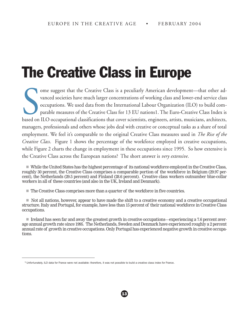# The Creative Class in Europe

Some suggest that the Creative Class is a peculiarly American development—that other advanced societies have much larger concentrations of working class and lower-end service class occupations. We used data from the Intern ome suggest that the Creative Class is a peculiarly American development—that other advanced societies have much larger concentrations of working class and lower-end service class occupations. We used data from the International Labour Organization (ILO) to build comparable measures of the Creative Class for 13 EU nations1. The Euro-Creative Class Index is managers, professionals and others whose jobs deal with creative or conceptual tasks as a share of total employment. We feel it's comparable to the original Creative Class measures used in *The Rise of the Creative Class*. Figure 1 shows the percentage of the workforce employed in creative occupations, while Figure 2 charts the change in employment in these occupations since 1995. So how extensive is the Creative Class across the European nations? The short answer is *very extensive*.

n While the United States has the highest percentage of its national workforce employed in the Creative Class, roughly 30 percent, the Creative Class comprises a comparable portion of the workforce in Belgium (29.97 percent), the Netherlands (29.5 percent) and Finland (28.6 percent). Creative class workers outnumber blue-collar workers in all of these countries (and also in the UK, Ireland and Denmark).

 $\blacksquare$  The Creative Class comprises more than a quarter of the workforce in five countries.

 $\blacksquare$  Not all nations, however, appear to have made the shift to a creative economy and a creative occupational structure. Italy and Portugal, for example, have less than 15 percent of their national workforce in Creative Class occupations.

■ Ireland has seen far and away the greatest growth in creative occupations—experiencing a 7.6 percent average annual growth rate since 1995. The Netherlands, Sweden and Denmark have experienced roughly a 2 percent annual rate of growth in creative occupations. Only Portugal has experienced negative growth in creative occupations.

 $1$  Unfortunately, ILO data for France were not available: therefore, it was not possible to build a creative class index for France.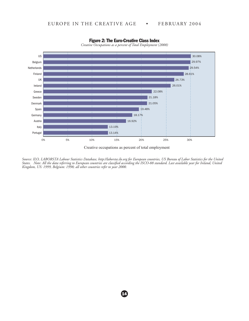

Figure 2: The Euro-Creative Class Index

*Creative Occupations as a percent of Total Employment (2000)*

*Source: ILO, LABORSTA Labour Statistics Database, http://laborsta.ilo.org for European countries, US Bureau of Labor Statistics for the United States. Note: All the data referring to European countries are classified according the ISCO-88 standard. Last available year for Ireland, United Kingdom, US: 1999, Belgium: 1998; all other countries refer to year 2000.*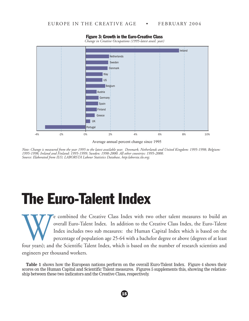

#### Figure 3: Growth in the Euro-Creative Class

*Change in Creative Occupations (1995-latest avail. year)*

Average annual percent change since 1995

*Note: Change is measured from the year 1995 to the latest available year. Denmark, Netherlands and United Kingdom: 1995-1998; Belgium: 1995-1998; Ireland and Finland: 1995-1999; Sweden: 1998-2000. All other countries: 1995-2000. Source: Elaborated from ILO, LABORSTA Labour Statistics Database, http:laborsta.ilo.org;* 

## The Euro-Talent Index

We combined the Creative Class Index with two other talent measures to build an overall Euro-Talent Index. In addition to the Creative Class Index, the Euro-Talent Index includes two sub measures: the Human Capital Index w overall Euro-Talent Index. In addition to the Creative Class Index, the Euro-Talent Index includes two sub measures: the Human Capital Index which is based on the percentage of population age 25-64 with a bachelor degree or above (degrees of at least four years); and the Scientific Talent Index, which is based on the number of research scientists and

engineers per thousand workers.

**Table 1** shows how the European nations perform on the overall Euro-Talent Index. Figure 4 shows their scores on the Human Capital and Scientific Talent measures. Figures 5 supplements this, showing the relationship between these two indicators and the Creative Class, respectively.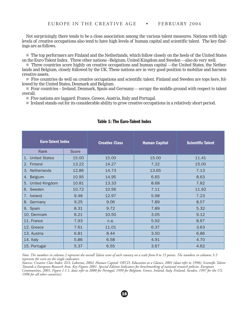Not surprisingly, there tends to be a close association among the various talent measures. Nations with high levels of creative occupations also tend to have high levels of human capital and scientific talent. The key findings are as follows.

n The top performers are Finland and the Netherlands, which follow closely on the heels of the United States on the Euro-Talent Index. Three other nations --Belgium, United Kingdom and Sweden —also do very well.

■ Three countries score highly on creative occupations and human capital —the United States, the Netherlands and Belgium, closely followed by the UK. These nations are in very good position to mobilize and harness creative assets.

n Five countries do well on creative occupations and scientific talent. Finland and Sweden are tops here, followed by the United States, Denmark and Belgium.

■ Four countries -- Ireland, Denmark, Spain and Germany— occupy the middle ground with respect to talent overall.

■ Five nations are laggard: France, Greece, Austria, Italy and Portugal.

n Ireland stands out for its considerable ability to grow creative occupations in a relatively short period.

| <b>Euro-Talent Index</b>   |       | <b>Creative Class</b> | <b>Human Capital</b> | <b>Scientific Talent</b> |  |
|----------------------------|-------|-----------------------|----------------------|--------------------------|--|
| Rank                       | Score |                       |                      |                          |  |
| <b>United States</b><br>1. | 15.00 | 15.00                 | 15.00                | 11.41                    |  |
| 2.<br>Finland              | 13.22 | 14.27                 | 7.22                 | 15.00                    |  |
| Netherlands<br>3.          | 12.86 | 14.73                 | 13.65                | 7.13                     |  |
| <b>Belgium</b><br>4.       | 10.95 | 14.95                 | 6.65                 | 8.63                     |  |
| 5. United Kingdom          | 10.81 | 13.33                 | 8.68                 | 7.82                     |  |
| 6. Sweden                  | 10.72 | 10.56                 | 7.11                 | 11.92                    |  |
| 7. Ireland                 | 9.48  | 12.97                 | 5.98                 | 7.23                     |  |
| 8. Germany                 | 9.25  | 9.06                  | 7.89                 | 8.57                     |  |
| 9. Spain                   | 8.31  | 9.72                  | 7.89                 | 5.32                     |  |
| 10. Denmark                | 8.21  | 10.50                 | 3.05                 | 9.12                     |  |
| 11. France                 | 7.93  | n.a.                  | 5.92                 | 8.67                     |  |
| 12. Greece                 | 7.61  | 11.01                 | 6.37                 | 3.63                     |  |
| 13. Austria                | 6.81  | 8.44                  | 3.50                 | 6.86                     |  |
| 14. Italy                  | 5.86  | 6.58                  | 4.91                 | 4.70                     |  |
| 15. Portugal               | 5.37  | 6.55                  | 3.67                 | 4.62                     |  |

#### Table 1: The Euro-Talent Index

*Note: The numbers in column 2 represent the overall Talent score of each country on a scale from 0 to 15 points. The numbers in columns 3-5 represent the score on the single indicators.*

*Sources: Creative Class Index: ILO, Laborsta, 2002; Human Capital: OECD, Education at a Glance, 2001 (data refer to 1998); Scientific Talent: Towards a European Research Area. Key Figures 2001. Special Edition Indicators for benchmarking of national research policies, European Communities, 2001, Figure 1.1.1, data refer to 2000 for Portugal, 1999 for Belgium, Greece, Ireland, Italy, Finland, Sweden, 1997 for the US, 1998 for all other countries).*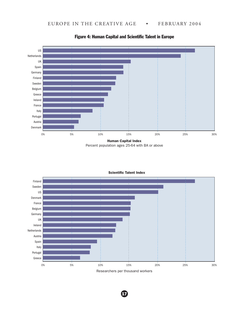

#### Figure 4: Human Capital and Scientific Talent in Europe

Percent population ages 25-64 with BA or above



Scientific Talent Index

Researchers per thousand workers

 $\boldsymbol{\mathrm{G}}$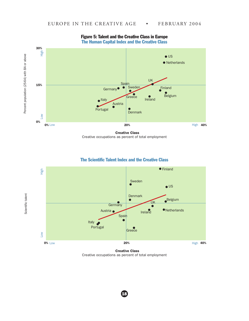

Figure 5: Talent and the Creative Class in Europe The Human Capital Index and the Creative Class

Creative Class Creative occupations as percent of total employment

#### The Scientific Talent Index and the Creative Class



Creative Class Creative occupations as percent of total employment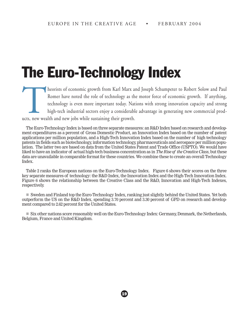# The Euro-Technology Index

Represent to Robert Solow and Paul Romer have noted the role of technology as the motor force of economic growth. If anything, technology is even more important today. Nations with strong innovation capacity and strong hig Romer have noted the role of technology as the motor force of economic growth. If anything, technology is even more important today. Nations with strong innovation capacity and strong high-tech industrial sectors enjoy a considerable advantage in generating new commercial products, new wealth and new jobs while sustaining their growth.

The Euro-Technology Index is based on three separate measures: an R&D Index based on research and development expenditures as a percent of Gross Domestic Product, an Innovation Index based on the number of patent applications per million population, and a High-Tech Innovation Index based on the number of high technology patents in fields such as biotechnology, information technology, pharmaceuticals and aerospace per million population. The latter two are based on data from the United States Patent and Trade Office (USPTO). We would have liked to have an indicator of actual high-tech business concentration as in *The Rise of the Creative Class*, but these data are unavailable in comparable format for these countries. We combine these to create an overall Technology Index.

Table 2 ranks the European nations on the Euro-Technology Index. Figure 6 shows their scores on the three key separate measures of technology: the R&D Index, the Innovation Index and the High-Tech Innovation Index. Figure 6 shows the relationship between the Creative Class and the R&D, Innovation and High-Tech Indexes, respectively.

n Sweden and Finland top the Euro-Technology Index, ranking just slightly behind the United States. Yet both outperform the US on the R&D Index, spending 3.70 percent and 3.30 percent of GPD on research and development compared to 2.62 percent for the United States.

n Six other nations score reasonably well on the Euro-Technology Index: Germany, Denmark, the Netherlands, Belgium, France and United Kingdom.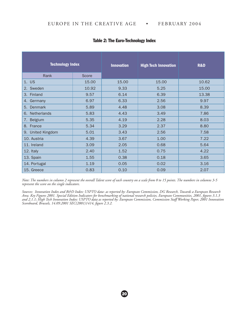| <b>Technology Index</b> |       | <b>Innovation</b> | <b>High Tech Innovation</b> | <b>R&amp;D</b> |
|-------------------------|-------|-------------------|-----------------------------|----------------|
| Rank                    | Score |                   |                             |                |
| 1. US                   | 15.00 | 15.00             | 15.00                       | 10.62          |
| 2. Sweden               | 10.92 | 9.33              | 5.25                        | 15.00          |
| 3. Finland              | 9.57  | 6.14              | 6.39                        | 13.38          |
| 4. Germany              | 6.97  | 6.33              | 2.56                        | 9.97           |
| 5. Denmark              | 5.89  | 4.48              | 3.08                        | 8.39           |
| 6. Netherlands          | 5.83  | 4.43              | 3.49                        | 7.86           |
| Belgium<br>7.           | 5.35  | 4.19              | 2.28                        | 8.03           |
| 8. France               | 5.34  | 3.29              | 2.37                        | 8.80           |
| 9. United Kingdom       | 5.01  | 3.43              | 2.56                        | 7.58           |
| 10. Austria             | 4.39  | 3.67              | 1.00                        | 7.22           |
| 11. Ireland             | 3.09  | 2.05              | 0.68                        | 5.64           |
| 12. Italy               | 2.40  | 1.52              | 0.75                        | 4.22           |
| 13. Spain               | 1.55  | 0.38              | 0.18                        | 3.65           |
| 14. Portugal            | 1.19  | 0.05              | 0.02                        | 3.16           |
| 15. Greece              | 0.83  | 0.10              | 0.09                        | 2.07           |

#### Table 2: The Euro-Technology Index

*Note: The numbers in column 2 represent the overall Talent score of each country on a scale from 0 to 15 points. The numbers in columns 3-5 represent the score on the single indicators.* 

*Sources: Innovation Index and R&D Index: USPTO data- as reported by: European Commission, DG Research, Towards a European Research Area. Key Figures 2001. Special Edition Indicators for benchmarking of national research policies, European Communities, 2001, figures 3.1.3 and 2.1.1; High Tech Innovation Index: USPTO data as reported by: European Commission, Commission Staff Working Paper, 2001 Innovation Scoreboard, Brussels, 14.09.2001 SEC(2001)1414, figure 2.3.2.*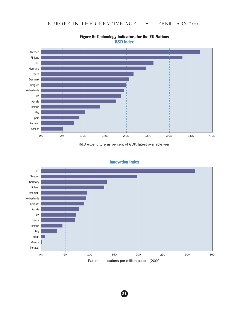

#### Figure 6: Technology Indicators for the EU Nations R&D Index

R&D expenditure as percent of GDP, latest available year



#### Innovation Index

Patent applications per million people (2000)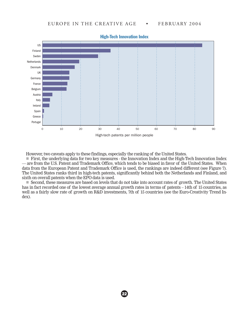

High-Tech Innovation Index

However, two caveats apply to these findings, especially the ranking of the United States.

■ First, the underlying data for two key measures - the Innovation Index and the High-Tech Innovation Index — are from the U.S. Patent and Trademark Office, which tends to be biased in favor of the United States. When data from the European Patent and Trademark Office is used, the rankings are indeed different (see Figure 7). The United States ranks third in high-tech patents, significantly behind both the Netherlands and Finland, and sixth on overall patents when the EPO data is used.

■ Second, these measures are based on levels that do not take into account rates of growth. The United States has in fact recorded one of the lowest average annual growth rates in terms of patents – 14th of 15 countries, as well as a fairly slow rate of growth on R&D investments, 7th of 15 countries (see the Euro-Creativity Trend Index).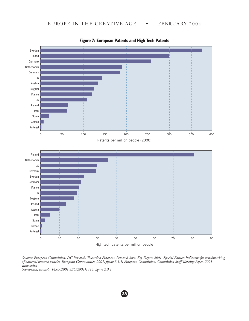

Figure 7: European Patents and High Tech Patents

*Sources: European Commission, DG Research, Towards a European Research Area. Key Figures 2001. Special Edition Indicators for benchmarking of national research policies, European Communities, 2001, figure 3.1.1; European Commission, Commission Staff Working Paper, 2001 Innovation Scoreboard, Brussels, 14.09.2001 SEC(2001)1414, figure 2.3.1.*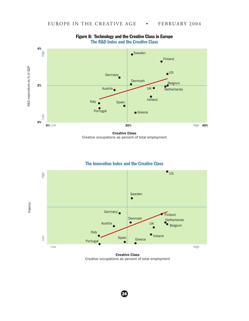

#### Figure 8: Technology and the Creative Class in Europe The R&D Index and the Creative Class

Creative Class Creative occupations as percent of total employment

#### The Innovation Index and the Creative Class



Creative Class Creative occupations as percent of total employment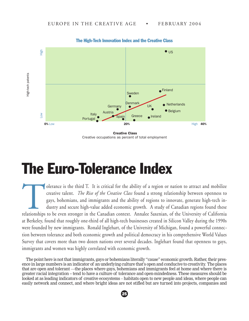

The High-Tech Innovation Index and the Creative Class

Creative Class Creative occupations as percent of total employment

### The Euro-Tolerance Index

olerance is the third T. It is critical for the ability of a region or nation to attract and mobilize creative talent. *The Rise of the Creative Class* found a strong relationship between openness to gays, bohemians, and immigrants and the ability of regions to innovate, generate high-tech industry and secure high-value added economic growth. A study of Canadian regions found these relationships to be even stronger in the Canadian context. Annalee Saxenian, of the University of California at Berkeley, found that roughly one-third of all high-tech businesses created in Silicon Valley during the 1990s were founded by new immigrants. Ronald Inglehart, of the University of Michigan, found a powerful connection between tolerance and both economic growth and political democracy in his comprehensive World Values Survey that covers more than two dozen nations over several decades. Inglehart found that openness to gays, immigrants and women was highly correlated with economic growth.

The point here is not that immigrants, gays or bohemians literally "cause" economic growth. Rather, their presence in large numbers is an indicator of an underlying culture that's open and conducive to creativity. The places that are open and tolerant —the places where gays, bohemians and immigrants feel at home and where there is greater racial integration -- tend to have a culture of tolerance and open-mindedness. These measures should be looked at as leading indicators of creative ecosystems – habitats open to new people and ideas, where people can

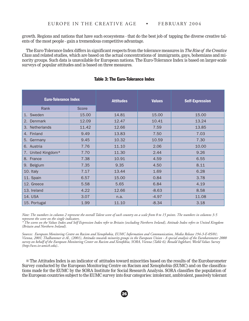growth. Regions and nations that have such ecosystems - that do the best job of tapping the diverse creative talents of the most people - gain a tremendous competitive advantage.

The Euro-Tolerance Index differs in significant respects from the tolerance measures in *The Rise of the Creative Class* and related studies, which are based on the actual concentrations of immigrants, gays, bohemians and minority groups. Such data is unavailable for European nations. The Euro-Tolerance Index is based on larger-scale surveys of popular attitudes and is based on three measures.

| <b>Euro-Tolerance Index</b> |       | <b>Attitudes</b> | <b>Values</b> | <b>Self-Expression</b> |
|-----------------------------|-------|------------------|---------------|------------------------|
| Rank                        | Score |                  |               |                        |
| Sweden<br>1.                | 15.00 | 14.81            | 15.00         | 15.00                  |
| Denmark<br>2.               | 12.09 | 12.47            | 10.41         | 13.24                  |
| 3. Netherlands              | 11.42 | 12.66            | 7.59          | 13.85                  |
| 4. Finland                  | 9.49  | 13.83            | 7.50          | 7.03                   |
| 5. Germany                  | 9.45  | 10.32            | 10.59         | 7.30                   |
| 6. Austria                  | 7.76  | 11.10            | 2.06          | 10.00                  |
| 7. United Kingdom*          | 7.70  | 11.30            | 2.44          | 9.26                   |
| 8. France                   | 7.38  | 10.91            | 4.59          | 6.55                   |
| 9. Belgium                  | 7.35  | 9.35             | 4.50          | 8.11                   |
| 10. Italy                   | 7.17  | 13.44            | 1.69          | 6.28                   |
| 11. Spain                   | 6.57  | 15.00            | 0.84          | 3.78                   |
| 12. Greece                  | 5.58  | 5.65             | 6.84          | 4.19                   |
| 13. Ireland                 | 4.22  | 12.66            | $-8.63$       | 8.58                   |
| 14. USA                     | 3.07  | n.a.             | $-4.97$       | 11.08                  |
| 15. Portugal                | 1.99  | 11.10            | $-8.34$       | 3.18                   |

#### Table 3: The Euro-Tolerance Index

*Note: The numbers in column 2 represent the overall Talent score of each country on a scale from 0 to 15 points. The numbers in columns 3-5 represent the score on the single indicators.*

*\* The scores on the Values Index and Self Expression Index refer to Britain (excluding Northern Ireland), Attitude Index refers to United Kingdom (Britain and Northern Ireland).*

*Sources: European Monitoring Centre on Racism and Xenophobia, EUMC Information and Communication, Media Release 194-3-E-05/01; Vienna, 2001; Thalhammer et Al., (2001), Attitudes towards minority groups in the European Union - A special analysis of the Eurobarometer 2000 survey on behalf of the European Monitoring Center on Racism and Xenofobia, SORA, Vienna (Table 6); Ronald Inglehart, World Values Survey (http://wvs.isr.umich.edu)..*

n The Attitudes Index is an indicator of attitudes toward minorities based on the results of the Eurobarometer Survey conducted by the European Monitoring Centre on Racism and Xenophobia (EUMC) and on the classifications made for the EUMC by the SORA Institute for Social Research Analysis. SORA classifies the population of the European countries subject to the EUMC survey into four categories: intolerant, ambivalent, passively tolerant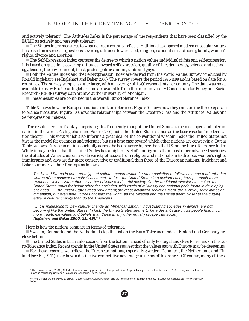and actively tolerant\*. The Attitudes Index is the percentage of the respondents that have been classified by the EUMC as actively and passively tolerant.

 $\blacksquare$  The Values Index measures to what degree a country reflects traditional as opposed modern or secular values. It is based on a series of questions covering attitudes toward God, religion, nationalism, authority, family, women's rights, divorce and abortion.

n The Self-Expression Index captures the degree to which a nation values individual rights and self-expression. It is based on questions covering attitudes toward self-expression, quality of life, democracy, science and technology, leisure, the environment, trust, protest politics, immigrants and gays.

n Both the Values Index and the Self-Expression Index are derived from the World Values Survey conducted by Ronald Inglehart (see Inglehart and Baker 2000). The survey covers the period 1995-1998 and is based on data for 65 countries. The survey sample is quite large, with an average of 1,400 respondents per country. The data was made available to us by Professor Inglehart and are available from the Inter-university Consortium for Policy and Social Research (ICPSR) survey data archive at the University of Michigan.

 $\blacksquare$  These measures are combined in the overall Euro-Tolerance Index.

Table 3 shows how the European nations rank on tolerance. Figure 9 shows how they rank on the three separate tolerance measures. Figure 10 shows the relationships between the Creative Class and the Attitudes, Values and Self-Expression Indexes.

 The results here are frankly surprising. It's frequently thought the United States is the most open and tolerant nation in the world. As Inglehart and Baker (2000) note, the United States stands as the base case for "modernization theory." This view, which also informs a great deal of the conventional wisdom, holds the United States not just as the model for openness and tolerance but as a base case toward which other nations are converging. But as Table 3 shows, European nations virtually across the board score higher than the U.S. on the Euro-Tolerance Index. While it may be true that the United States has a higher level of immigrants than most other advanced societies, the attitudes of Americans on a wide variety of issues from religion and nationalism to divorce, women's rights, immigrants and gays are far more conservative or traditional than those of the European nations. Inglehart and Baker summarize their findings as follows:

The United States is not a prototype of cultural modernization for other societies to follow, as some modernization writers of the postwar era naively assumed. In fact, the United States is a deviant case, having a much more traditional value system than any other advanced industrial society. On the traditional/secular dimension, the United States ranks far below other rich societies, with levels of religiosity and national pride found in developing societies. ... The United States does rank among the most advanced societies along the survival/self-expression dimension, but even here, it does not lead the world, as the Swedes and the Danes seem closer to the cutting edge of cultural change than do the Americans.

… It is misleading to view cultural change as "Americanization." Industrializing societies in general are not becoming like the United States. In fact, the United States seems to be a deviant case … its people hold much more traditional values and beliefs than those in any other equally prosperous society (Inglehart and Baker 2000: 31, 49).\*\*

Here is how the nations compare in terms of tolerance.

n Sweden, Denmark and the Netherlands top the list on the Euro-Tolerance Index. Finland and Germany are close behind.

n The United States in fact ranks second from the bottom, ahead of only Portugal and close to Ireland on the Euro-Tolerance Index. Recent trends in the United States suggest that the values gap with Europe may be deepening.

n For these reasons, we believe the European nations, especially Sweden, Denmark, the Netherlands and Finland (see Figs 9-11), may have a distinctive competitive advantage in terms of tolerance. Of course, many of these

<sup>\*</sup> Thalhammer et Al., (2001), Attitudes towards minority groups in the European Union - A special analysis of the Eurobarometer 2000 survey on behalf of the European Monitoring Center on Racism and Xenofobia, SORA, Vienna.

<sup>\*\*</sup>Ronald Inglehart and Wayne E. Baker, "Modernization, Cultural Change, and the Persistence of Traditional Values," in American Sociological Review (February 2000)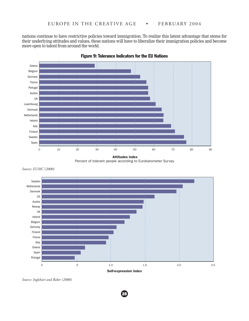nations continue to have restrictive policies toward immigration. To realize this latent advantage that stems for their underlying attitudes and values, these nations will have to liberalize their immigration policies and become more open to talent from around the world.



Figure 9: Tolerance Indicators for the EU Nations

*Source: EUMC (2000)*



28

*Source: Inglehart and Baker (2000)*

Attitudes index Percent of tolerant people according to Eurobarometer Survey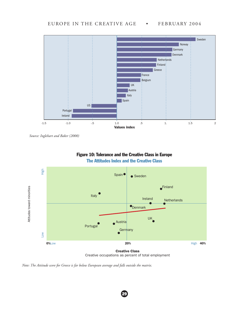

*Source: Inglehart and Baker (2000)*





Creative occupations as percent of total employment

29

*Note: The Attitude score for Greece is far below European average and falls outside the matrix.*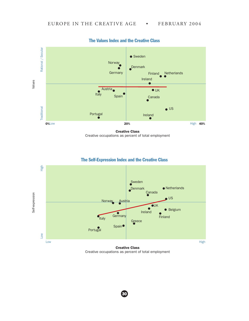

The Values Index and the Creative Class

Creative Class Creative occupations as percent of total employment



#### The Self-Expression Index and the Creative Class

Creative Class Creative occupations as percent of total employment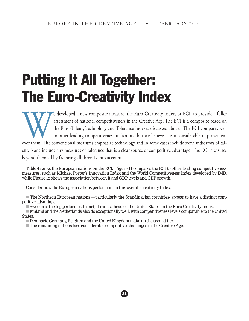# Putting It All Together: The Euro-Creativity Index

The developed a new composite measure, the Euro-Creativity Index, or ECI, to provide a fuller assessment of national competitiveness in the Creative Age. The ECI is a composite based on the Euro-Talent, Technology and Tole assessment of national competitiveness in the Creative Age. The ECI is a composite based on the Euro-Talent, Technology and Tolerance Indexes discussed above. The ECI compares well to other leading competitiveness indicators, but we believe it is a considerable improvement

over them. The conventional measures emphasize technology and in some cases include some indicators of talent. None include any measures of tolerance that is a clear source of competitive advantage. The ECI measures beyond them all by factoring all three Ts into account.

Table 4 ranks the European nations on the ECI. Figure 11 compares the ECI to other leading competitiveness measures, such as Michael Porter's Innovation Index and the World Competitiveness Index developed by IMD, while Figure 12 shows the association between it and GDP levels and GDP growth.

Consider how the European nations perform in on this overall Creativity Index.

 $\blacksquare$  The Northern European nations —particularly the Scandinavian countries- appear to have a distinct competitive advantage.

n Sweden is the top-performer. In fact, it ranks ahead of the United States on the Euro-Creativity Index.

n Finland and the Netherlands also do exceptionally well, with competitiveness levels comparable to the United States.

31

Denmark, Germany, Belgium and the United Kingdom make up the second tier.

 $\blacksquare$  The remaining nations face considerable competitive challenges in the Creative Age.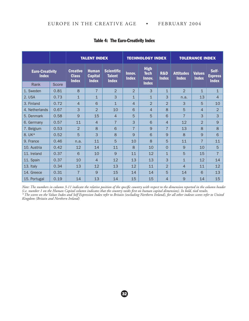|                                        |       | <b>TALENT INDEX</b>                             |                                                |                                                    |                        | <b>TECHNOLOGY INDEX</b>                              |                                |                                  | <b>TOLERANCE INDEX</b>        |                                         |
|----------------------------------------|-------|-------------------------------------------------|------------------------------------------------|----------------------------------------------------|------------------------|------------------------------------------------------|--------------------------------|----------------------------------|-------------------------------|-----------------------------------------|
| <b>Euro-Creativity</b><br><b>Index</b> |       | <b>Creative</b><br><b>Class</b><br><b>Index</b> | <b>Human</b><br><b>Capital</b><br><b>Index</b> | <b>Scientific</b><br><b>Talent</b><br><b>Index</b> | Innov.<br><b>Index</b> | <b>High</b><br><b>Tech</b><br>Innov.<br><b>Index</b> | <b>R&amp;D</b><br><b>Index</b> | <b>Attitudes</b><br><b>Index</b> | <b>Values</b><br><b>Index</b> | Self-<br><b>Express</b><br><b>Index</b> |
| Rank                                   | Score |                                                 |                                                |                                                    |                        |                                                      |                                |                                  |                               |                                         |
| 1. Sweden                              | 0.81  | 8                                               | $\overline{7}$                                 | 2                                                  | $\overline{2}$         | 3                                                    | $\mathbf{1}$                   | $\overline{2}$                   | $\mathbf{1}$                  | $\mathbf{1}$                            |
| 2. USA                                 | 0.73  | $\mathbf{1}$                                    | $\mathbf{1}$                                   | 3                                                  | $\mathbf{1}$           | $\mathbf{1}$                                         | 3                              | n.a.                             | 13                            | 4                                       |
| 3. Finland                             | 0.72  | $\overline{4}$                                  | 6                                              | $\overline{1}$                                     | $\overline{4}$         | $\overline{2}$                                       | $\overline{2}$                 | 3                                | 5                             | 10                                      |
| 4. Netherlands                         | 0.67  | 3                                               | $\overline{2}$                                 | 10                                                 | 6                      | $\overline{4}$                                       | 8                              | 5                                | $\overline{4}$                | $\overline{2}$                          |
| 5. Denmark                             | 0.58  | 9                                               | 15                                             | $\overline{4}$                                     | 5                      | 5                                                    | 6                              | $\overline{7}$                   | 3                             | 3                                       |
| 6. Germany                             | 0.57  | 11                                              | $\overline{4}$                                 | $\overline{7}$                                     | 3                      | 6                                                    | $\overline{4}$                 | 12                               | $\overline{2}$                | 9                                       |
| 7. Belgium                             | 0.53  | $\overline{2}$                                  | $\mathbf{8}$                                   | 6                                                  | $\overline{7}$         | 9                                                    | $\overline{7}$                 | 13                               | 8                             | 8                                       |
| 8. UK*                                 | 0.52  | 5                                               | 3                                              | 8                                                  | 9                      | 6                                                    | 9                              | 8                                | 9                             | 6                                       |
| 9. France                              | 0.46  | n.a.                                            | 11                                             | 5                                                  | 10                     | 8                                                    | 5                              | 11                               | $\overline{7}$                | 11                                      |
| 10. Austria                            | 0.42  | 12                                              | 14                                             | 11                                                 | $\mathsf{8}$           | 10                                                   | $\Omega$                       | 9                                | 10                            | 5                                       |
| 11. Ireland                            | 0.37  | 6                                               | 10                                             | 9                                                  | 11                     | 12                                                   | $\mathbf{1}$                   | 5                                | 15                            | $\overline{7}$                          |
| 11. Spain                              | 0.37  | 10                                              | $\overline{4}$                                 | 12                                                 | 13                     | 13                                                   | 3                              | $\mathbf{1}$                     | 12                            | 14                                      |
| 13. Italy                              | 0.34  | 13                                              | 12                                             | 13                                                 | 12                     | 11                                                   | $\overline{2}$                 | $\overline{4}$                   | 11                            | 12                                      |
| 14. Greece                             | 0.31  | $\overline{7}$                                  | 9                                              | 15                                                 | 14                     | 14                                                   | 5                              | 14                               | 6                             | 13                                      |
| 15. Portugal                           | 0.19  | 14                                              | 13                                             | 14                                                 | 15                     | 15                                                   | $\overline{4}$                 | 9                                | 14                            | 15                                      |

#### Table 4: The Euro-Creativity Index

*Note: The numbers in column 3-11 indicate the relative position of the specific country with respect to the dimension reported in the column header (i.e. number 1 on the Human Capital column indicates that the country ranks first on human capital dimension). In bold, tied results. \* The scores on the Values Index and Self Expression Index refer to Britain (excluding Northern Ireland), for all other indexes scores refer to United Kingdom (Britain and Northern Ireland)*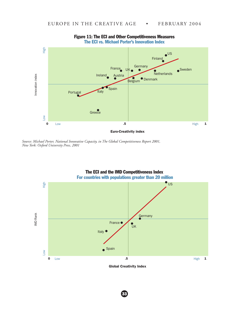

#### Figure 11: The ECI and Other Competitiveness Measures The ECI vs. Michael Porter's Innovation Index

*Source: Michael Porter, National Innovative Capacity, in The Global Competitiveness Report 2001, New York: Oxford University Press, 2001*

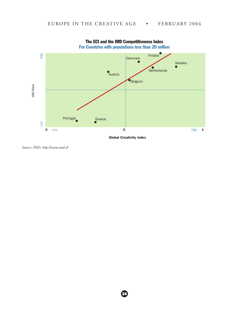

The ECI and the IMD Competitiveness Index For Countries with populations less than 20 million

Global Creativity index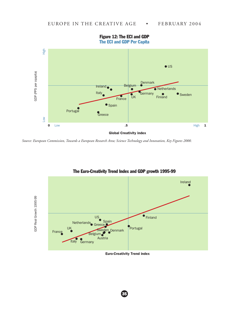

Figure 12: The ECI and GDP The ECI and GDP Per Capita

*Source: European Commission, Towards a European Research Area; Science Technology and Innovation, Key Figures 2000.*



#### The Euro-Creativity Trend Index and GDP growth 1995-99

Euro-Creativity Trend index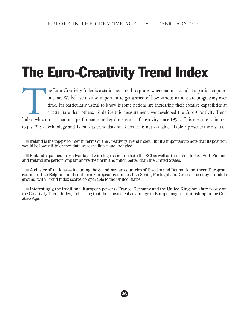# The Euro-Creativity Trend Index

The Euro-Creativity Index is a static measure. It captures where nations stand at a particular point<br>in time. We believe it's also important to get a sense of how various nations are progressing over<br>time. It's particularl in time. We believe it's also important to get a sense of how various nations are progressing over time. It's particularly useful to know if some nations are increasing their creative capabilities at a faster rate than others. To derive this measurement, we developed the Euro-Creativity Trend Index, which tracks national performance on key dimensions of creativity since 1995. This measure is limited to just 2Ts - Technology and Talent - as trend data on Tolerance is not available. Table 5 presents the results.

n Ireland is the top-performer in terms of the Creativity Trend Index. But it's important to note that its position would be lower if tolerance data were available and included.

n Finland is particularly advantaged with high scores on both the ECI as well as the Trend Index. Both Finland and Ireland are performing far above the norm and much better than the United States.

n A cluster of nations — including the Scandinavian countries of Sweden and Denmark, northern European countries like Belgium, and southern European countries like Spain, Portugal and Greece – occupy a middle ground, with Trend Index scores comparable to the United States.

n Interestingly, the traditional European powers - France, Germany and the United Kingdom - fare poorly on the Creativity Trend Index, indicating that their historical advantage in Europe may be diminishing in the Creative Age.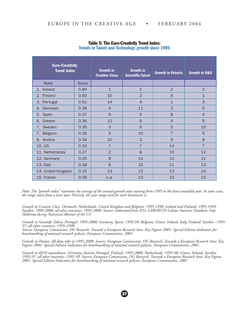| <b>Euro-Creativity</b><br><b>Trend Index</b> |       | <b>Growth in</b><br><b>Creative Class</b> | <b>Growth in</b><br><b>Scientific Talent</b> | Growth in Patents | <b>Growth in R&amp;D</b> |
|----------------------------------------------|-------|-------------------------------------------|----------------------------------------------|-------------------|--------------------------|
| Rank                                         | Score |                                           |                                              |                   |                          |
| 1. Ireland                                   | 0.89  | $\mathbf{1}$                              | $\mathbf{1}$                                 | $\overline{2}$    | 2                        |
| 2. Finland                                   | 0.60  | 10                                        | $\overline{2}$                               | 6                 | $\overline{1}$           |
| 3. Portugal                                  | 0.51  | 14                                        | $\overline{4}$                               | $\overline{1}$    | 3                        |
| 4. Denmark                                   | 0.38  | $\overline{4}$                            | 11                                           | 3                 | 6                        |
| 5. Spain                                     | 0.37  | 9                                         | 5                                            | 8                 | $\overline{4}$           |
| 6. Greece                                    | 0.36  | 12                                        | 6                                            | $\overline{4}$    | 9                        |
| Sweden<br>7.                                 | 0.35  | 3                                         | 9                                            | 5                 | 10                       |
| 7. Belgium                                   | 0.35  | 5                                         | 10                                           | $\overline{7}$    | 5                        |
| 9. Austria                                   | 0.34  | 10                                        | 3                                            | 9                 | 8                        |
| 10. US                                       | 0.33  | $\overline{7}$                            | $\overline{7}$                               | 14                | $\overline{7}$           |
| 11. Netherlands                              | 0.27  | $\overline{2}$                            | 8                                            | 10                | 12                       |
| 12. Germany                                  | 0.20  | 8                                         | 14                                           | 12                | 11                       |
| 13. Italy                                    | 0.18  | 6                                         | 15                                           | 11                | 13                       |
| 14. United Kingdom                           | 0.15  | 13                                        | 12                                           | 13                | 14                       |
| 15. France                                   | 0.08  | n.a.                                      | 13                                           | 15                | 15                       |

#### Table 5: The Euro-Creativity Trend Index: Trends in Talent and Technology growth since 1995

*Note: The "growth index" represents the average of the annual growth rates starting from 1995 to the latest available year. In some cases, the range starts from a later year. Precisely, the year range used for each dimension is:*

*Growth in Creative Class. Denmark, Netherlands, United Kingdom and Belgium: 1995-1998; Ireland and Finland: 1995-1999; Sweden: 1998-2000; all other countries: 1995-2000. Source: elaborated from ILO, LABORSTA Labour Statistics Database, http: //laborsta.ilo.org; Statistical Abstract of the US.*

*Growth in Scientific Talent. Portugal: 1995-2000; Germany, Spain: 1995-99; Belgium, Greece, Ireland, Italy, Finland, Sweden : 1995- 97; all other countries: 1995-1998.*

*Source: European Commission, DG Research, Towards a European Research Area. Key Figures 2001. Special Edition Indicators for benchmarking of national research policies, European Communities, 2001*

*Growth in Patents. All data refer to 1995-2000. Source: European Commission, DG Research, Towards a European Research Area. Key Figures 2001. Special Edition Indicators for benchmarking of national research policies, European Communities, 2001.*

*Growth in R&D expenditure. Germany, Austria, Portugal, Finland: 1995-2000; Netherlands: 1995-98; Greece, Ireland, Sweden: 1995-97; all other countries: 1995-99. Source: European Commission, DG Research, Towards a European Research Area. Key Figures 2001. Special Edition Indicators for benchmarking of national research policies, European Communities, 2001*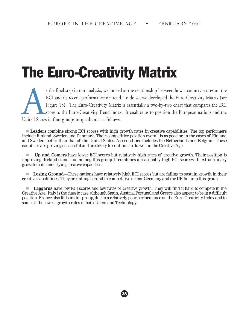# The Euro-Creativity Matrix

s the final step in our analysis, we looked at the relationship between how a country scores on the ECI and its recent performance or trend. To do so, we developed the Euro-Creativity Matrix (see Figure 13). The Euro-Creat ECI and its recent performance or trend. To do so, we developed the Euro-Creativity Matrix (see Figure 13). The Euro-Creativity Matrix is essentially a two-by-two chart that compares the ECI score to the Euro-Creativity Trend Index. It enables us to position the European nations and the United States in four groups or quadrants, as follows.

**Leaders** combine strong ECI scores with high growth rates in creative capabilities. The top performers include Finland, Sweden and Denmark. Their competitive position overall is as good or, in the cases of Finland and Sweden, better than that of the United States. A second tier includes the Netherlands and Belgium. These countries are proving successful and are likely to continue to do well in the Creative Age.

n **Up and Comers** have lower ECI scores but relatively high rates of creative growth. Their position is improving. Ireland stands out among this group. It combines a reasonably high ECI score with extraordinary growth in its underlying creative capacities.

n **Losing Ground**—These nations have relatively high ECI scores but are failing to sustain growth in their creative capabilities. They are falling behind in competitive terms. Germany and the UK fall into this group.

**Laggards** have low ECI scores and low rates of creative growth. They will find it hard to compete in the Creative Age. Italy is the classic case, although Spain, Austria, Portugal and Greece also appear to be in a difficult position. France also falls in this group, due to a relatively poor performance on the Euro-Creativity Index and to some of the lowest growth rates in both Talent and Technology.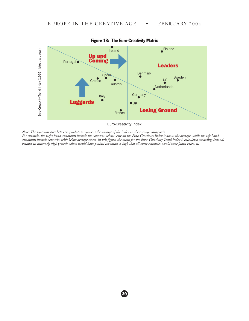

Figure 13: The Euro-Creativity Matrix

*Note: The separator axes between quadrants represent the average of the Index on the corresponding axis. For example, the right-hand quadrants include the countries whose score on the Euro-Creativity Index is above the average, while the left-hand quadrants include countries with below average scores. In this figure, the mean for the Euro-Creativity Trend Index is calculated excluding Ireland, because its extremely high growth values would have pushed the mean so high that all other countries would have fallen below it.*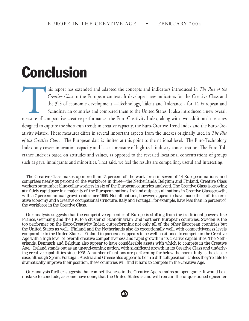### **Conclusion**

This report has extended and adapted the concepts and indicators introduced in *The Rise of the*<br> *Creative Class* to the European context. It developed new indicators for the Creative Class and<br>
the 3Ts of economic develo *Creative Class* to the European context. It developed new indicators for the Creative Class and the 3Ts of economic development —Technology, Talent and Tolerance - for 14 European and Scandinavian countries and compared them to the United States. It also introduced a new overall designed to capture the short-run trends in creative capacity, the Euro-Creative Trend Index and the Euro-Creativity Matrix. These measures differ in several important aspects from the indexes originally used in *The Rise of the Creative Class*. The European data is limited at this point to the national level. The Euro-Technology Index only covers innovation capacity and lacks a measure of high-tech industry concentration. The Euro-Tolerance Index is based on attitudes and values, as opposed to the revealed locational concentrations of groups such as gays, immigrants and minorities. That said, we feel the results are compelling, useful and interesting.

The Creative Class makes up more than 25 percent of the work force in seven of 14 European nations, and comprises nearly 30 percent of the workforce in three—the Netherlands, Belgium and Finland. Creative Class workers outnumber blue-collar workers in six of the European countries analyzed. The Creative Class is growing at a fairly rapid pace in a majority of the European nations. Ireland outpaces all nations in Creative Class growth, with a 7 percent annual growth rate since 1995. Not all nations, however, appear to have made the shift to a creative economy and a creative occupational structure. Italy and Portugal, for example, have less than 15 percent of the workforce in the Creative Class.

Our analysis suggests that the competitive epicenter of Europe is shifting from the traditional powers, like France, Germany, and the UK, to a cluster of Scandinavian and northern European countries. Sweden is the top performer on the Euro-Creativity Index, outperforming not only all of the other European countries but the United States as well. Finland and the Netherlands also do exceptionally well, with competitiveness levels comparable to the United States. Finland in particular appears to be well-positioned to compete in the Creative Age with a high level of overall creative competitiveness and rapid growth in its creative capabilities. The Netherlands, Denmark and Belgium also appear to have considerable assets with which to compete in the Creative Age. Ireland stands out as an up-and-coming nation, with significant growth in its Creative Class and underlying creative capabilities since 1995. A number of nations are performing far below the norm. Italy is the classic case, although Spain, Portugal, Austria and Greece also appear to be in a difficult position. Unless they're able to dramatically improve their position, these countries will find it hard to compete in the Creative Age.

Our analysis further suggests that competitiveness in the Creative Age remains an open game. It would be a mistake to conclude, as some have done, that the United States is and will remain the unquestioned epicenter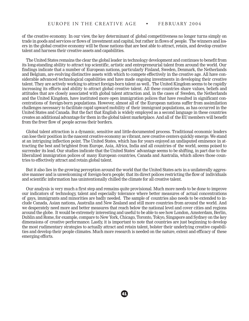of the creative economy. In our view, the key determinant of global competitiveness no longer turns simply on trade in goods and services or flows of investment and capital, but rather in flows of people. The winners and losers in the global creative economy will be those nations that are best able to attract, retain, and develop creative talent and harness their creative assets and capabilities.

The United States remains the clear the global leader in technology development and continues to benefit from its long-standing ability to attract top scientific, artistic and entrepreneurial talent from around the world. Our findings indicate that a number of European nations, particularly Finland, Sweden, Denmark, the Netherlands and Belgium, are evolving distinctive assets with which to compete effectively in the creative age. All have considerable advanced technological capabilities and have made ongoing investments in developing their creative talent. They are actively working to attract foreign-born talent as well.. The United Kingdom seems to be rapidly increasing its efforts and ability to attract global creative talent. All these countries share values, beliefs and attitudes that are closely associated with global talent attraction and, in the cases of Sweden, the Netherlands and the United Kingdom, have instituted more open immigration polices that have resulted in significant concentrations of foreign-born populations. However, almost all of the European nations suffer from assimilation challenges necessary to facilitate rapid upward mobility of their immigrant populations, as has occurred in the United States and Canada. But the fact that English is widely employed as a second language in these countries creates an additional advantage for them in the global talent marketplace. And all of the EU members will benefit from the freer flow of people across their borders.

Global talent attraction is a dynamic, sensitive and little-documented process. Traditional economic leaders can lose their position in the nascent creative economy as vibrant, new creative centers quickly emerge. We stand at an intriguing inflection point. The United States, which has for years enjoyed an undisputed eminence in attracting the best and brightest from Europe, Asia, Africa, India and all countries of the world, seems poised to surrender its lead. Our studies indicate that the United States' advantage seems to be shifting, in part due to the liberalized immigration polices of many European countries, Canada and Australia, which allows those countries to effectively attract and retain global talent.

But it also lies in the growing perception around the world that the United States acts in a unilaterally aggressive manner and is unwelcoming of foreign-born people; that its direct polices restricting the flow of individuals and scientific information has unintentionally chilled the climate for all creative talent.

Our analysis is very much a first step and remains quite provisional. Much more needs to be done to improve our indicators of technology, talent and especially tolerance where better measures of actual concentrations of gays, immigrants and minorities are badly needed. The sample of countries also needs to be extended to include Canada, Asian nations, Australia and New Zealand and still more countries from around the world. And we desperately need more and better measures that reach below the national level and cover cities and regions around the globe. It would be extremely interesting and useful to be able to see how London, Amsterdam, Berlin, Dublin and Rome, for example, compare to New York, Chicago, Toronto, Tokyo, Singapore and Sydney on the key dimensions of creative performance. Lastly, it is important to note that countries are just beginning to develop the most rudimentary strategies to actually attract and retain talent, bolster their underlying creative capabilities and develop their people climates. Much more research is needed on the nature, extent and efficacy of these emerging efforts.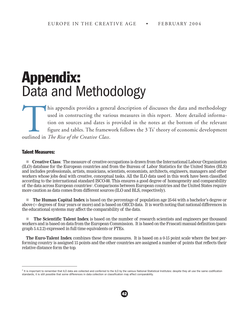### Appendix: Data and Methodology

This appendix provides a general description of discusses the data and methodology used in constructing the various measures in this report. More detailed information on sources and dates is provided in the notes at the bo used in constructing the various measures in this report. More detailed information on sources and dates is provided in the notes at the bottom of the relevant figure and tables. The framework follows the 3 Ts' theory of economic development outlined in *The Rise of the Creative Class*.

#### Talent Measures:

n **Creative Class**: The measure of creative occupations is drawn from the International Labour Organization (ILO) database for the European countries and from the Bureau of Labor Statistics for the United States (BLS) and includes professionals, artists, musicians, scientists, economists, architects, engineers, managers and other workers whose jobs deal with creative, conceptual tasks. All the ILO data used in this work have been classified according to the international standard ISCO-88. This ensures a good degree of homogeneity and comparability of the data across European countries<sup>2</sup>. Comparisons between European countries and the United States require more caution as data comes from different sources (ILO and BLS, respectively).

n **The Human Capital Index** is based on the percentage of population age 25-64 with a bachelor's degree or above (= degrees of four years or more) and is based on OECD data. It is worth noting that national differences in the educational systems may affect the comparability of the data.

**n The Scientific Talent Index** is based on the number of research scientists and engineers per thousand workers and is based on data from the European Commission. It is based on the Frascati manual definition (paragraph 5.4.2.2) expressed in full time equivalents or FTEs.

**The Euro-Talent Index** combines these three measures. It is based on a 0-15 point scale where the best performing country is assigned 15 points and the other countries are assigned a number of points that reflects their relative distance form the top.

 $<sup>2</sup>$  It is important to remember that ILO data are collected and conferred to the ILO by the various National Statistical Institutes: despite they all use the same codification</sup> standards, it is still possible that some differences in data collection or classification may affect comparability.

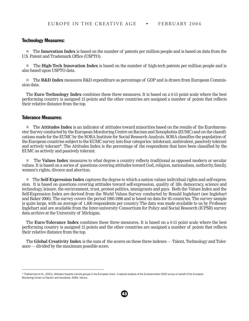#### Technology Measures:

n The **Innovation Index** is based on the number of patents per million people and is based on data from the U.S. Patent and Trademark Office (USPTO).

n The **High-Tech Innovation Index** is based on the number of high-tech patents per million people and is also based upon USPTO data.

n The **R&D Index** measures R&D expenditure as percentage of GDP and is drawn from European Commission data.

The **Euro Technology Index** combines these three measures. It is based on a 0-15 point scale where the best performing country is assigned 15 points and the other countries are assigned a number of points that reflects their relative distance from the top.

#### Tolerance Measures:

n The **Attitudes Index** is an indicator of attitudes toward minorities based on the results of the Eurobarometer Survey conducted by the European Monitoring Centre on Racism and Xenophobia (EUMC) and on the classifications made for the EUMC by the SORA Institute for Social Research Analysis. SORA classifies the population of the European countries subject to the EUMC survey into four categories: intolerant, ambivalent, passively tolerant and actively tolerant\*. The Attitudes Index is the percentage of the respondents that have been classified by the EUMC as actively and passively tolerant.

n The **Values Index** measures to what degree a country reflects traditional as opposed modern or secular values. It is based on a series of questions covering attitudes toward God, religion, nationalism, authority, family, women's rights, divorce and abortion.

n The **Self-Expression Index** captures the degree to which a nation values individual rights and self-expression. It is based on questions covering attitudes toward self-expression, quality of life, democracy, science and technology, leisure, the environment, trust, protest politics, immigrants and gays. Both the Values Index and the Self-Expression Index are derived from the World Values Survey conducted by Ronald Inglehart (see Inglehart and Baker 2000). The survey covers the period 1995-1998 and is based on data for 65 countries. The survey sample is quite large, with an average of 1,400 respondents per country. The data was made available to us by Professor Inglehart and are available from the Inter-university Consortium for Policy and Social Research (ICPSR) survey data archive at the University of Michigan.

The **Euro-Tolerance Index** combines these three measures. It is based on a 0-15 point scale where the best performing country is assigned 15 points and the other countries are assigned a number of points that reflects their relative distance from the top.

The **Global Creativity Index** is the sum of the scores on these three indexes — Talent, Technology and Tolerance — divided by the maximum possible score.

<sup>\*</sup> Thalhammer et Al., (2001), Attitudes towards minority groups in the European Union - A special analysis of the Eurobarometer 2000 survey on behalf of the European Monitoring Center on Racism and Xenofobia, SORA, Vienna.

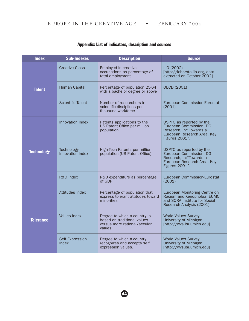| <b>Index</b>      | <b>Sub-Indexes</b>             | <b>Description</b>                                                                                    | <b>Source</b>                                                                                                                   |
|-------------------|--------------------------------|-------------------------------------------------------------------------------------------------------|---------------------------------------------------------------------------------------------------------------------------------|
|                   | <b>Creative Class</b>          | Employed in creative<br>occupations as percentage of<br>total employment                              | ILO (2002)<br>[http://laborsta.ilo.org, data<br>extracted on October 2002]                                                      |
| <b>Talent</b>     | Human Capital                  | Percentage of population 25-64<br>with a bachelor degree or above                                     | OECD (2001)                                                                                                                     |
|                   | <b>Scientific Talent</b>       | Number of researchers in<br>scientific disciplines per<br>thousand workforce                          | European Commission-Eurostat<br>(2001)                                                                                          |
|                   | Innovation Index               | Patents applications to the<br>US Patent Office per million<br>population                             | USPTO as reported by the<br>European Commission, DG<br>Research, in:"Towards a<br>European Research Area. Key<br>Figures 2001". |
| <b>Technology</b> | Technology<br>Innovation Index | High-Tech Patents per million<br>population (US Patent Office)                                        | USPTO as reported by the<br>European Commission, DG<br>Research, in:"Towards a<br>European Research Area. Key<br>Figures 2001". |
|                   | R&D Index                      | R&D expenditure as percentage<br>of GDP                                                               | European Commission-Eurostat<br>(2001)                                                                                          |
| <b>Tolerance</b>  | Attitudes Index                | Percentage of population that<br>express tolerant attitudes toward<br>minorities                      | European Monitoring Centre on<br>Racism and Xenophobia, EUMC<br>and SORA Institute for Social<br>Research Analysis (2001)       |
|                   | <b>Values Index</b>            | Degree to which a country is<br>based on traditional values<br>versus more rational/secular<br>values | World Values Survey,<br>University of Michigan<br>[http://wvs.isr.umich.edu]                                                    |
|                   | Self Expression<br>Index       | Degree to which a country<br>recognizes and accepts self<br>expression values.                        | World Values Survey,<br>University of Michigan<br>[http://wvs.isr.umich.edu]                                                    |

#### Appendix: List of indicators, description and sources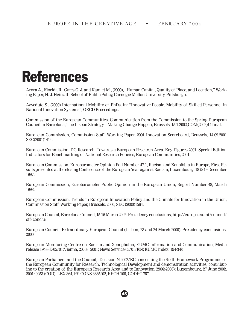### References

Arora A., Florida R., Gates G. J. and Kamlet M., (2000), "Human Capital, Quality of Place, and Location," Working Paper, H. J. Heinz III School of Public Policy, Carnegie Mellon University, Pittsburgh.

Avveduto S., (2000) International Mobility of PhDs, in: "Innovative People. Mobility of Skilled Personnel in National Innovation Systems"; OECD Proceedings.

Commission of the European Communities, Communication from the Commission to the Spring European Council in Barcelona, The Lisbon Strategy – Making Change Happen, Brussels, 15.1.2002,COM(2002)14 final.

European Commission, Commission Staff Working Paper, 2001 Innovation Scoreboard, Brussels, 14.09.2001 SEC(2001)1414.

European Commission, DG Research, Towards a European Research Area. Key Figures 2001. Special Edition Indicators for Benchmarking of National Research Policies, European Communities, 2001.

European Commission, Eurobarometer Opinion Poll Number 47.1, Racism and Xenofobia in Europe, First Results presented at the closing Conference of the European Year against Racism, Luxembourg, 18 & 19 December 1997.

European Commission, Eurobarometer Public Opinion in the European Union, Report Number 48, March 1998.

European Commission, Trends in European Innovation Policy and the Climate for Innovation in the Union, Commission Staff Working Paper, Brussels, 2000, SEC (2000)1564.

European Council, Barcelona Council, 15-16 March 2002: Presidency conclusions, http://europa.eu.int/council/ off/conclu/

European Council, Extraordinary European Council (Lisbon, 23 and 24 March 2000): Presidency conclusions, 2000

European Monitoring Centre on Racism and Xenophobia, EUMC Information and Communication, Media release 194-3-E-05/01;Vienna, 20. 03. 2001; News Service 05/01/EN; EUMC Index: 194-3-E

European Parliament and the Council, Decision N.2002/EC concerning the Sixth Framework Programme of the European Community for Research, Technological Development and demonstration activities, contributing to the creation of the European Research Area and to Innovation (2002-2006); Luxembourg, 27 June 2002, 2001/0053 (COD), LEX 364, PE-CONS 3635/02, RECH 105, CODEC 757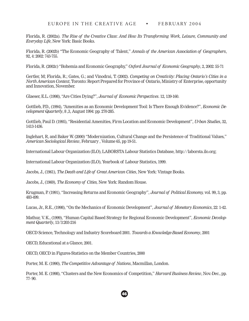Florida, R. (2002a). *The Rise of the Creative Class*: *And How Its Transforming Work, Leisure, Community and Everyday Life*, New York: Basic Books.

Florida, R. (2002b) "The Economic Geography of Talent," *Annals of the American Association of Geographers*, 92, 4: 2002: 743-755.

Florida, R. (2002c) "Bohemia and Economic Geography," *Oxford Journal of Economic Geography*, 2, 2002: 55-71

Gertler, M; Florida, R.; Gates, G.; and Vinodrai, T. (2002). *Competing on Creativity: Placing Ontario's Cities in a North American Context*, Toronto: Report Prepared for Province of Ontario, Ministry of Enterprise, opportunity and Innovation, November.

Glaeser, E.L. (1998), "Are Cities Dying?", *Journal of Economic Perspectives*. 12, 139-160.

Gottlieb, P.D., (1994), "Amenities as an Economic Development Tool: Is There Enough Evidence?", *Economic Development Quarterly*, 8 ,3, August 1994: pp. 270-285.

Gottlieb, Paul D. (1995), "Residential Amenities, Firm Location and Economic Development", *Urban Studies*, 32, 1413-1436.

Inglehart, R, and Baker W. (2000) "Modernization, Cultural Change and the Persistence of Traditional Values," *American Sociological Review*, February , Volume 65, pp 19-51.

International Labour Organization (ILO), LABORSTA Labour Statistics Database, http://laborsta.ilo.org;

International Labour Organization (ILO), Yearbook of Labour Statistics, 1999.

Jacobs, J., (1961), *The Death and Life of Great American Cities*, New York: Vintage Books.

Jacobs, J., (1969), *The Economy of Cities,* New York: Random House.

Krugman, P. (1991), "Increasing Returns and Economic Geography", *Journal of Political Economy,* vol. 99, 3, pp. 483-499.

Lucas, Jr., R.E., (1998), "On the Mechanics of Economic Development", *Journal of Monetary Economics*, 22: 1-42.

Mathur, V. K., (1999), "Human Capital Based Strategy for Regional Economic Development", *Economic Development Quarterly*, 13/3:203-216

OECD Science, Technology and Industry Scoreboard 2001. *Towards a Knowledge-Based Economy*, 2001

OECD, Educational at a Glance, 2001.

OECD, OECD in Figures-Statistics on the Member Countries, 2000

Porter, M. E. (1990), *The Competitive Advantage of Nations*, Macmillan, London.

Porter, M. E. (1998), "Clusters and the New Economics of Competition," *Harvard Business Review*, Nov.-Dec., pp. 77- 90.

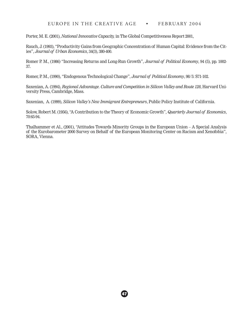Porter, M. E. (2001), *National Innovative Capacity,* in The Global Competitiveness Report 2001,

Rauch, J. (1993), "Productivity Gains from Geographic Concentration of Human Capital: Evidence from the Cities", *Journal of Urban Economics*, 34(3), 380-400.

Romer P. M., (1986) "Increasing Returns and Long-Run Growth", *Journal of Political Economy*, 94 (5), pp. 1002- 37.

Romer, P. M., (1990), "Endogenous Technological Change", *Journal of Political Economy*, 98/5: S71-102.

Saxenian, A. (1994), *Regional Advantage. Culture and Competition in Silicon Valley and Route 128*, Harvard University Press, Cambridge, Mass.

Saxenian, A. (1999), *Silicon Valley's New Immigrant Entrepreneurs*, Public Policy Institute of California.

Solow, Robert M. (1956), "A Contribution to the Theory of Economic Growth", *Quarterly Journal of Economics*, 70:65-94.

Thalhammer et Al., (2001), "Attitudes Towards Minority Groups in the European Union – A Special Analysis of the Eurobarometer 2000 Survey on Behalf of the European Monitoring Center on Racism and Xenofobia", SORA, Vienna.

 $\bm{G}$